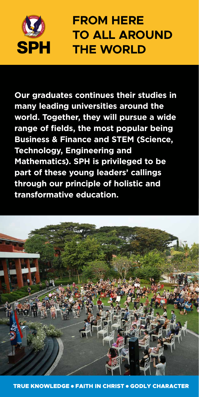

## SPH

### **Our graduates continues their studies in**

**many leading universities around the world. Together, they will pursue a wide range of fields, the most popular being Business & Finance and STEM (Science, Technology, Engineering and Mathematics). SPH is privileged to be part of these young leaders' callings through our principle of holistic and transformative education.** 



## **FROM HERE TO ALL AROUND THE WORLD**

### TRUE KNOWLEDGE ○ FAITH IN CHRIST ○ GODLY CHARACTER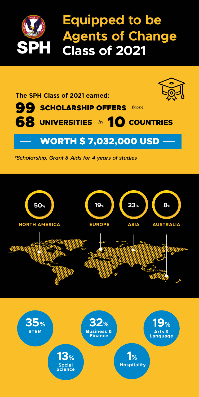### **The SPH Class of 2021 earned:**



### 99 68 UNIVERSITIES in 10 SCHOLARSHIP OFFERS from *in* UNIVERSITIES in TO COUNTRIES

### $\longrightarrow$  WORTH \$ 7,032,000 USD  $\longrightarrow$

## **Equipped to be Agents of Change Class of 2021**





*\*Scholarship, Grant & Aids for 4 years of studies*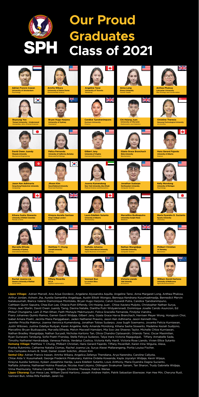**Lippo Village:** Adrian Marcell, Ana Arjue Dordevic, Angelene Alyssandra Aquilla, Angeline Tansi, Anna Margaret Long, Anthea Phalosa, Arthur Jordan, Ashwin Jha, Aurelia Samantha Angelique, Austin Elliott Wongso, Bennaya Kendrana Kusumaatmadja, Bennedict Mervin Natakusumah, Bianca Valerie Diamonique Montolalu, Bryan Hugo Harjono, Calvin Guswidi Putra, Candice Tjandranimpuno, Cathleen Quinn Saputra, Chea Eun Lee, Chiacia Putri Effendy, Chi-Hsiang Juan, Chloe Xaviera Muljoto, Christopher Nathan Surya, Cinssy Jean Starlin, David Owen Juandy Tjeng, Davina Natalie, Diantha Putri Widyakrisnadi, Dominique Joselle Cando Asuncion, Ed Philsuf Chungiarta, Lam Zi Man Ethan, Faith Mishayle Makmurputri, Felica Graciella Fernanda, Findytia Viandra, Franz Johannes Quinto Ramos, Garren Gavril Widjaja, Gilbert Jany, Gizela Grace Harva Branchach, Herrisen Meyer Wong, Hongjoon Choi, Isabel Amara Poetri, Jacinta Maira Panggabean, Jaden Nathaniel Prawiro, Jason Ken Adhinarta, Jason Kenneth Hiu, Jennifer Priscilla Makmur, Joanna Veronica Kumendong, Jonathan Tobias Sudarpo, Jose Sugih Soemarno, Jovanka Felicia Kurniawan, Justin Wibowo, Justina Odellya Rudyan, Karen Angeline, Kelly Amanda Mondong, Kihana Sasha Siswanto, Madeline Keziah Sudijono, Marcellino Bryan Budisaputra, Marvella Elfreda, Melvin Maxwell Hamdani, Mia Soo-Jee Sheeres Taylor, Michelle Chloe Kurniawan, Nathan Bradley Wangidjaja, Nathan Suryadi, Nicholas Kartono Tan, Olivia Chandra Ciptasandri, Orlando Tansi, Oscar Maximilian, Ryan Gunavaro Tandjung, Sofie Poetri Franslay, Stella Felicya Sudarpo, Talya Inara Victoria Rajagukguk, Tiffany Annabelle Sada, Timothy Nathaniel Hendradjaja, Vanessa Felicia, Verdeluz Costica, Victoria Kelly Hardi, Victoria Rose Liando, Vivien Ellice Sutanto Kemang Village: Matthew Y. Chung, Philbert Christian, Hans Gerard Fajardo, Tiffany Peverillah, Karen Irina Wiguna, Alexa, Franka Rukminto, Catherine Natalia Ciomas, Rachel Joanna Lie, Surya Alexei Mallarangeng, Portia Louisa Fischer, Gita Cempaka Amaris B. Sirait, Daniel Josiah Solichin, Jihoon Kim **Sentul City:** Adrian Francis Irawan, Amrita Wikara, Angelica Zefanya Thendiana, Arya Narendra, Caroline Callysta, Chloe Alda V. Kusumahadi, George Frederick Pinakunary, Katrina Ordelia Kowanda, Kayla Joycelyn Widjaja, Kevin Wijaya, Kireyna Aurelia Santoso, Kyleen Josephine Hardja, Laura Edellein Sutanto, Louis Anthony, Maria Dyandra Dagna Sucianto, Naftalia Johanna, Nathanael Hotma Prasetya, Nicolas Axel Likjono, Otilingam Sivakumar Sairam, Tan Sharon, Trudy Gabriella Widjaja, Virna Mazmurany, Yohana Candleli I. Tarigan, Christine Theresia, Patrick Wenas **Lippo Cikarang:** Eun Hwoa Lee, William David Hartono, Joseph Andrew Halim, Patrik Sebastian Ebenezer, Han Hee Min, Cheryna Rusli, Vannest Bun, Ishika Rifa Fadillah, Jaren Go

## **Class of 2021 Our Proud Graduates**



**Boyoung Yoo Yonsei University - Underwood**  *Humanities, Arts, & Social Sciences*



**David Owen Juandy Waseda University** *Mechanical Engineering*



**Jason Ken Adhinarta Hong Kong Polytechnic University** *Computing* 



**Kihana Sasha Siswanto University of British Columbia** *Faculty of Arts*



**Marvella Elfreda University of Sydney**  *International Relations*



**Rachel Joanna Lie Queen's University of Belfast** *Social Work*



**Bryan Hugo Harjono University of Sydney** *Commerce*



**Felica Fernanda University of California, Berkeley** *Molecular/Cell Biology*



**Jihoon Kim Seoul National University** *Food and Nutrition*



**Matthew Y. Chung Cornell University**  *Biology*



**Tiffany Peverilla UCLA** *Applied mathematics*



**Candice Tjandranimpuno Durham University** *Finance*

**Kireyna Aurelia Santoso King's College London** *Economics*



**Laura Edellein Sutanto University of Alberta** *Biochemistry*



**Gilbert Jany University of Virginia** *Commerce/Economics*



**Joanna Kumendong New York University, Abu Dhabi**  *Political Science and Economics*



**Naftalia Johanna Tokyo International University** *Digital Business & Innovation*



**Vannest Bun Le cordon Bleu** *Culinary* 



**Chi-Hsiang Juan University of Warwick** *Mathematics and Statistics*



**Gizela Grace Branchach Biola University** *Biochemistry*



**Kelly Mondong University of Michigan** *Psychology*















**Marcellino Budisaputra Universitas Gadjah Mada** *Medicine*



**Nathan Wangidjaja Columbia University** *Computer Science*



**Victoria Liando Yale University** *Economics* 



**Christine Theresia Nanyang Technological University** *Accounting*



**Hans Gerard Fajardo University of Alberta** *Science*



**Jonathan Sudarpo Northeastern University** *Computer Science*



**Maria Dyandra D. Sucianto Kyushu University** *Chemistry*



**Philbert Christian UC Berkeley** *Economics*





**William David Hartono University of Melbourne** *Agricultural Economics*



**Amrita Wikara University of Notre Dame** *Environmental Science*



**Anna Long Emory University** *Human Health*



**Anthea Phalosa Lancaster University** *Msci Ecology and Conservation* 











↗



**Angeline Tansi University of Toronto** *Marketing*



**Adrian Francis Irawan University of Amsterdam**  *Psychology*